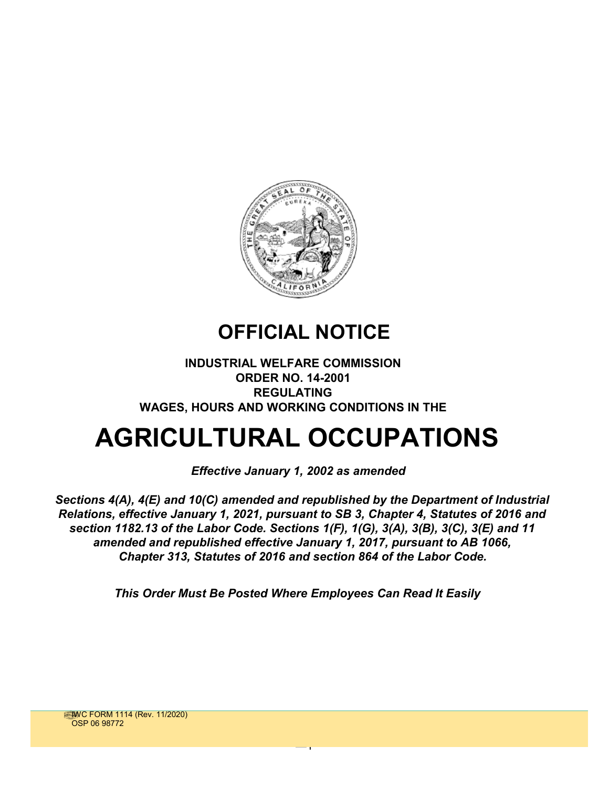

## **OFFICIAL NOTICE**

**INDUSTRIAL WELFARE COMMISSION ORDER NO. 14-2001 REGULATING WAGES, HOURS AND WORKING CONDITIONS IN THE**

# **AGRICULTURAL OCCUPATIONS**

*Effective January 1, 2002 as amended*

*Sections 4(A), 4(E) and 10(C) amended and republished by the Department of Industrial Relations, effective January 1, 2021, pursuant to SB 3, Chapter 4, Statutes of 2016 and section 1182.13 of the Labor Code. Sections 1(F), 1(G), 3(A), 3(B), 3(C), 3(E) and 11 amended and republished effective January 1, 2017, pursuant to AB 1066, Chapter 313, Statutes of 2016 and section 864 of the Labor Code.* 

*This Order Must Be Posted Where Employees Can Read It Easily*

—1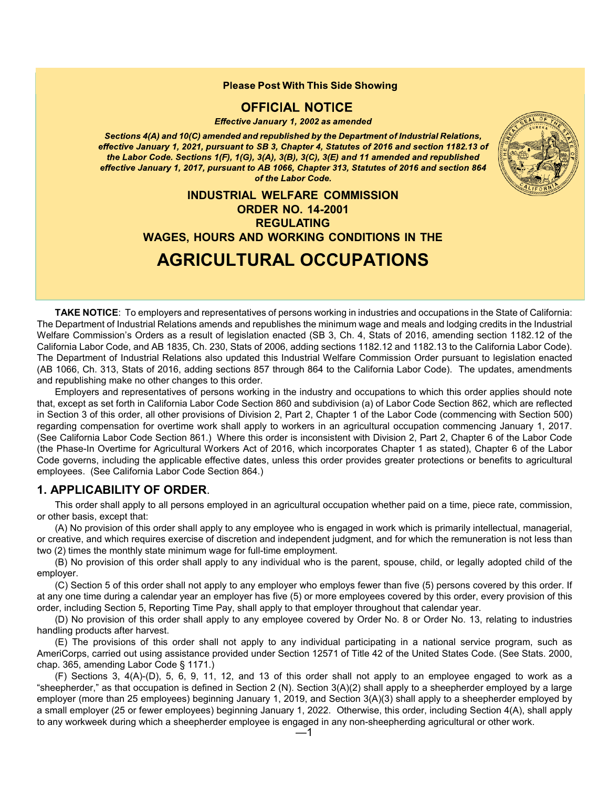#### **Please Post With This Side Showing**

## **OFFICIAL NOTICE**

Effective January 1, 2002 as amended

Sections 4(A) and 10(C) amended and republished by the Department of Industrial Relations, effective January 1, 2021, pursuant to SB 3, Chapter 4, Statutes of 2016 and section 1182.13 of the Labor Code. Sections 1(F), 1(G), 3(A), 3(B), 3(C), 3(E) and 11 amended and republished effective January 1, 2017, pursuant to AB 1066, Chapter 313, Statutes of 2016 and section 864 of the Labor Code.



**INDUSTRIAL WELFARE COMMISSION ORDER NO. 14-2001 REGULATING WAGES, HOURS AND WORKING CONDITIONS IN THE AGRICULTURAL OCCUPATIONS**

**TAKE NOTICE**: To employers and representatives of persons working in industries and occupations in the State of California: The Department of Industrial Relations amends and republishes the minimum wage and meals and lodging credits in the Industrial Welfare Commission's Orders as a result of legislation enacted (SB 3, Ch. 4, Stats of 2016, amending section 1182.12 of the California Labor Code, and AB 1835, Ch. 230, Stats of 2006, adding sections 1182.12 and 1182.13 to the California Labor Code). The Department of Industrial Relations also updated this Industrial Welfare Commission Order pursuant to legislation enacted (AB 1066, Ch. 313, Stats of 2016, adding sections 857 through 864 to the California Labor Code). The updates, amendments and republishing make no other changes to this order.

Employers and representatives of persons working in the industry and occupations to which this order applies should note that, except as set forth in California Labor Code Section 860 and subdivision (a) of Labor Code Section 862, which are reflected in Section 3 of this order, all other provisions of Division 2, Part 2, Chapter 1 of the Labor Code (commencing with Section 500) regarding compensation for overtime work shall apply to workers in an agricultural occupation commencing January 1, 2017. (See California Labor Code Section 861.) Where this order is inconsistent with Division 2, Part 2, Chapter 6 of the Labor Code (the Phase-In Overtime for Agricultural Workers Act of 2016, which incorporates Chapter 1 as stated), Chapter 6 of the Labor Code governs, including the applicable effective dates, unless this order provides greater protections or benefits to agricultural employees. (See California Labor Code Section 864.)

## **1. APPLICABILITY OF ORDER**.

This order shall apply to all persons employed in an agricultural occupation whether paid on a time, piece rate, commission, or other basis, except that:

(A) No provision of this order shall apply to any employee who is engaged in work which is primarily intellectual, managerial, or creative, and which requires exercise of discretion and independent judgment, and for which the remuneration is not less than two (2) times the monthly state minimum wage for full-time employment.

(B) No provision of this order shall apply to any individual who is the parent, spouse, child, or legally adopted child of the employer.

(C) Section 5 of this order shall not apply to any employer who employs fewer than five (5) persons covered by this order. If at any one time during a calendar year an employer has five (5) or more employees covered by this order, every provision of this order, including Section 5, Reporting Time Pay, shall apply to that employer throughout that calendar year.

(D) No provision of this order shall apply to any employee covered by Order No. 8 or Order No. 13, relating to industries handling products after harvest.

(E) The provisions of this order shall not apply to any individual participating in a national service program, such as AmeriCorps, carried out using assistance provided under Section 12571 of Title 42 of the United States Code. (See Stats. 2000, chap. 365, amending Labor Code § 1171.)

(F) Sections 3, 4(A)-(D), 5, 6, 9, 11, 12, and 13 of this order shall not apply to an employee engaged to work as a "sheepherder," as that occupation is defined in Section 2 (N). Section 3(A)(2) shall apply to a sheepherder employed by a large employer (more than 25 employees) beginning January 1, 2019, and Section 3(A)(3) shall apply to a sheepherder employed by a small employer (25 or fewer employees) beginning January 1, 2022. Otherwise, this order, including Section 4(A), shall apply to any workweek during which a sheepherder employee is engaged in any non-sheepherding agricultural or other work.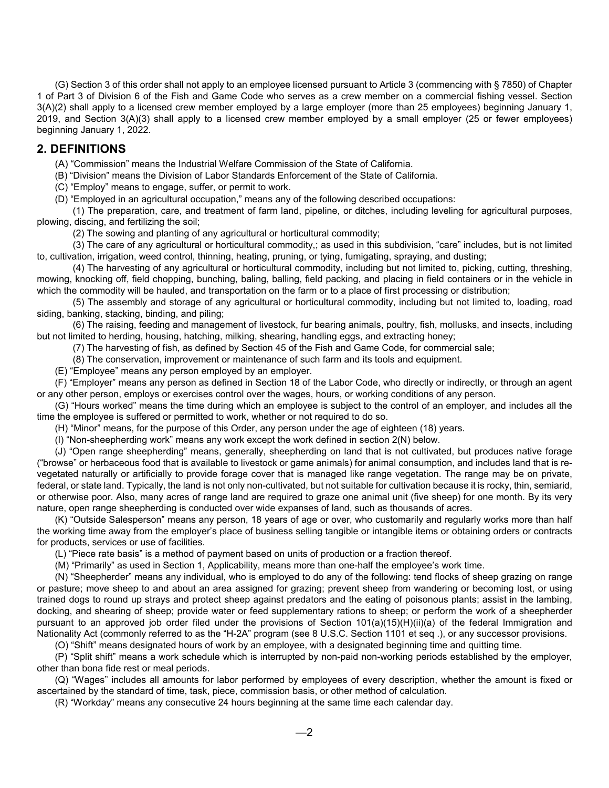(G) Section 3 of this order shall not apply to an employee licensed pursuant to Article 3 (commencing with § 7850) of Chapter 1 of Part 3 of Division 6 of the Fish and Game Code who serves as a crew member on a commercial fishing vessel. Section 3(A)(2) shall apply to a licensed crew member employed by a large employer (more than 25 employees) beginning January 1, 2019, and Section 3(A)(3) shall apply to a licensed crew member employed by a small employer (25 or fewer employees) beginning January 1, 2022.

## **2. DEFINITIONS**

(A) "Commission" means the Industrial Welfare Commission of the State of California.

(B) "Division" means the Division of Labor Standards Enforcement of the State of California.

(C) "Employ" means to engage, suffer, or permit to work.

(D) "Employed in an agricultural occupation," means any of the following described occupations:

(1) The preparation, care, and treatment of farm land, pipeline, or ditches, including leveling for agricultural purposes, plowing, discing, and fertilizing the soil;

(2) The sowing and planting of any agricultural or horticultural commodity;

(3) The care of any agricultural or horticultural commodity,; as used in this subdivision, "care" includes, but is not limited to, cultivation, irrigation, weed control, thinning, heating, pruning, or tying, fumigating, spraying, and dusting;

(4) The harvesting of any agricultural or horticultural commodity, including but not limited to, picking, cutting, threshing, mowing, knocking off, field chopping, bunching, baling, balling, field packing, and placing in field containers or in the vehicle in which the commodity will be hauled, and transportation on the farm or to a place of first processing or distribution;

(5) The assembly and storage of any agricultural or horticultural commodity, including but not limited to, loading, road siding, banking, stacking, binding, and piling;

(6) The raising, feeding and management of livestock, fur bearing animals, poultry, fish, mollusks, and insects, including but not limited to herding, housing, hatching, milking, shearing, handling eggs, and extracting honey;

(7) The harvesting of fish, as defined by Section 45 of the Fish and Game Code, for commercial sale;

(8) The conservation, improvement or maintenance of such farm and its tools and equipment.

(E) "Employee" means any person employed by an employer.

(F) "Employer" means any person as defined in Section 18 of the Labor Code, who directly or indirectly, or through an agent or any other person, employs or exercises control over the wages, hours, or working conditions of any person.

(G) "Hours worked" means the time during which an employee is subject to the control of an employer, and includes all the time the employee is suffered or permitted to work, whether or not required to do so.

(H) "Minor" means, for the purpose of this Order, any person under the age of eighteen (18) years.

(I) "Non-sheepherding work" means any work except the work defined in section 2(N) below.

(J) "Open range sheepherding" means, generally, sheepherding on land that is not cultivated, but produces native forage ("browse" or herbaceous food that is available to livestock or game animals) for animal consumption, and includes land that is revegetated naturally or artificially to provide forage cover that is managed like range vegetation. The range may be on private, federal, or state land. Typically, the land is not only non-cultivated, but not suitable for cultivation because it is rocky, thin, semiarid, or otherwise poor. Also, many acres of range land are required to graze one animal unit (five sheep) for one month. By its very nature, open range sheepherding is conducted over wide expanses of land, such as thousands of acres.

(K) "Outside Salesperson" means any person, 18 years of age or over, who customarily and regularly works more than half the working time away from the employer's place of business selling tangible or intangible items or obtaining orders or contracts for products, services or use of facilities.

(L) "Piece rate basis" is a method of payment based on units of production or a fraction thereof.

(M) "Primarily" as used in Section 1, Applicability, means more than one-half the employee's work time.

(N) "Sheepherder" means any individual, who is employed to do any of the following: tend flocks of sheep grazing on range or pasture; move sheep to and about an area assigned for grazing; prevent sheep from wandering or becoming lost, or using trained dogs to round up strays and protect sheep against predators and the eating of poisonous plants; assist in the lambing, docking, and shearing of sheep; provide water or feed supplementary rations to sheep; or perform the work of a sheepherder pursuant to an approved job order filed under the provisions of Section 101(a)(15)(H)(ii)(a) of the federal Immigration and Nationality Act (commonly referred to as the "H-2A" program (see 8 U.S.C. Section 1101 et seq .), or any successor provisions.

(O) "Shift" means designated hours of work by an employee, with a designated beginning time and quitting time.

(P) "Split shift" means a work schedule which is interrupted by non-paid non-working periods established by the employer, other than bona fide rest or meal periods.

(Q) "Wages" includes all amounts for labor performed by employees of every description, whether the amount is fixed or ascertained by the standard of time, task, piece, commission basis, or other method of calculation.

(R) "Workday" means any consecutive 24 hours beginning at the same time each calendar day.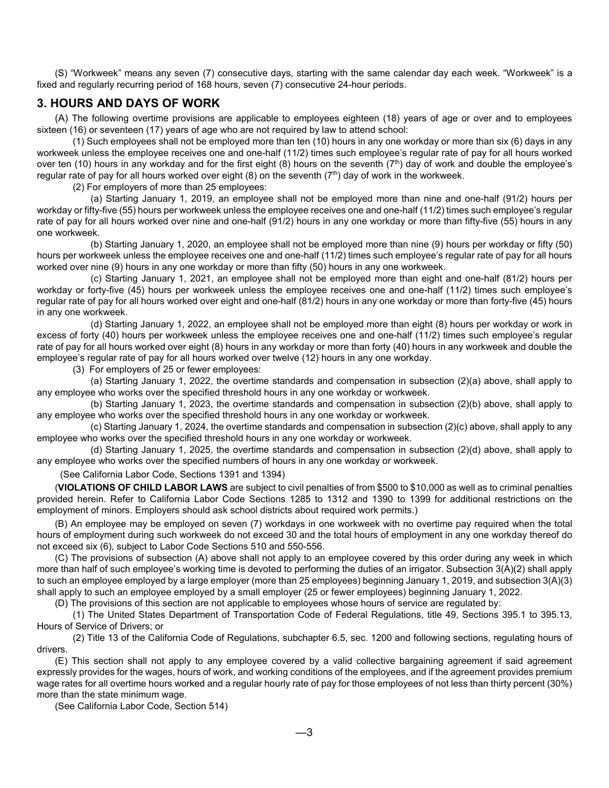(S) "Workweek" means any seven (7) consecutive days, starting with the same calendar day each week. "Workweek" is a fixed and regularly recurring period of 168 hours, seven (7) consecutive 24-hour periods.

## **3. HOURS AND DAYS OF WORK**

(A) The following overtime provisions are applicable to employees eighteen (18) years of age or over and to employees sixteen (16) or seventeen (17) years of age who are not required by law to attend school:

(1) Such employees shall not be employed more than ten (10) hours in any one workday or more than six (6) days in any workweek unless the employee receives one and one-half (11/2) times such employee's regular rate of pay for all hours worked over ten (10) hours in any workday and for the first eight (8) hours on the seventh  $(7<sup>th</sup>)$  day of work and double the employee's regular rate of pay for all hours worked over eight  $(8)$  on the seventh  $(7<sup>th</sup>)$  day of work in the workweek.

(2) For employers of more than 25 employees:

(a) Starting January 1, 2019, an employee shall not be employed more than nine and one-half (91/2) hours per workday or fifty-five (55) hours per workweek unless the employee receives one and one-half (11/2) times such employee's regular rate of pay for all hours worked over nine and one-half (91/2) hours in any one workday or more than fifty-five (55) hours in any one workweek.

(b) Starting January 1, 2020, an employee shall not be employed more than nine (9) hours per workday or fifty (50) hours per workweek unless the employee receives one and one-half (11/2) times such employee's regular rate of pay for all hours worked over nine (9) hours in any one workday or more than fifty (50) hours in any one workweek.

(c) Starting January 1, 2021, an employee shall not be employed more than eight and one-half (81/2) hours per workday or forty-five (45) hours per workweek unless the employee receives one and one-half (11/2) times such employee's regular rate of pay for all hours worked over eight and one-half (81/2) hours in any one workday or more than forty-five (45) hours in any one workweek.

(d) Starting January 1, 2022, an employee shall not be employed more than eight (8) hours per workday or work in excess of forty (40) hours per workweek unless the employee receives one and one-half (11/2) times such employee's regular rate of pay for all hours worked over eight (8) hours in any workday or more than forty (40) hours in any workweek and double the employee's regular rate of pay for all hours worked over twelve (12) hours in any one workday.

(3) For employers of 25 or fewer employees:

(a) Starting January 1, 2022, the overtime standards and compensation in subsection (2)(a) above, shall apply to any employee who works over the specified threshold hours in any one workday or workweek.

(b) Starting January 1, 2023, the overtime standards and compensation in subsection (2)(b) above, shall apply to any employee who works over the specified threshold hours in any one workday or workweek.

(c) Starting January 1, 2024, the overtime standards and compensation in subsection (2)(c) above, shall apply to any employee who works over the specified threshold hours in any one workday or workweek.

(d) Starting January 1, 2025, the overtime standards and compensation in subsection (2)(d) above, shall apply to any employee who works over the specified numbers of hours in any one workday or workweek.

(See California Labor Code, Sections 1391 and 1394)

(**VIOLATIONS OF CHILD LABOR LAWS** are subject to civil penalties of from \$500 to \$10,000 as well as to criminal penalties provided herein. Refer to California Labor Code Sections 1285 to 1312 and 1390 to 1399 for additional restrictions on the employment of minors. Employers should ask school districts about required work permits.)

(B) An employee may be employed on seven (7) workdays in one workweek with no overtime pay required when the total hours of employment during such workweek do not exceed 30 and the total hours of employment in any one workday thereof do not exceed six (6), subject to Labor Code Sections 510 and 550-556.

(C) The provisions of subsection (A) above shall not apply to an employee covered by this order during any week in which more than half of such employee's working time is devoted to performing the duties of an irrigator. Subsection 3(A)(2) shall apply to such an employee employed by a large employer (more than 25 employees) beginning January 1, 2019, and subsection 3(A)(3) shall apply to such an employee employed by a small employer (25 or fewer employees) beginning January 1, 2022.

(D) The provisions of this section are not applicable to employees whose hours of service are regulated by:

(1) The United States Department of Transportation Code of Federal Regulations, title 49, Sections 395.1 to 395.13, Hours of Service of Drivers; or

(2) Title 13 of the California Code of Regulations, subchapter 6.5, sec. 1200 and following sections, regulating hours of drivers.

(E) This section shall not apply to any employee covered by a valid collective bargaining agreement if said agreement expressly provides for the wages, hours of work, and working conditions of the employees, and if the agreement provides premium wage rates for all overtime hours worked and a regular hourly rate of pay for those employees of not less than thirty percent (30%) more than the state minimum wage.

(See California Labor Code, Section 514)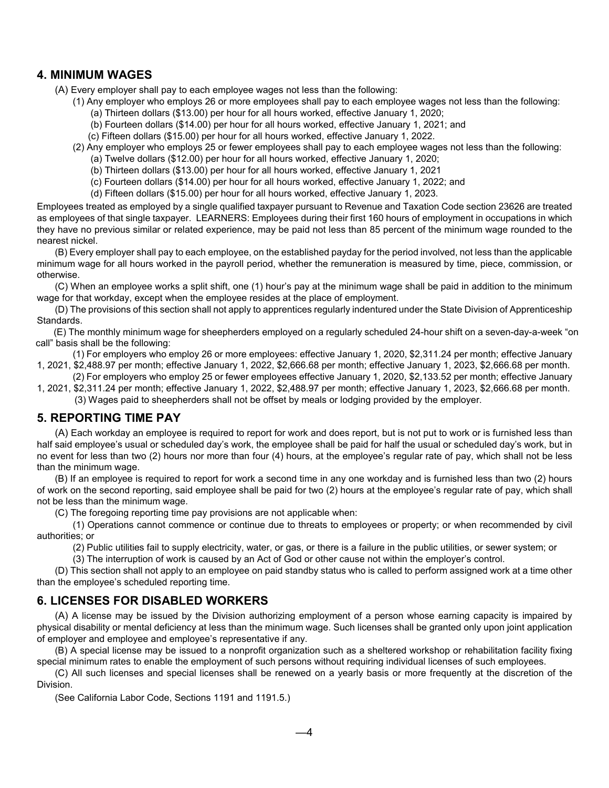## **4. MINIMUM WAGES**

(A) Every employer shall pay to each employee wages not less than the following:

- (1) Any employer who employs 26 or more employees shall pay to each employee wages not less than the following:
	- (a) Thirteen dollars (\$13.00) per hour for all hours worked, effective January 1, 2020;
	- (b) Fourteen dollars (\$14.00) per hour for all hours worked, effective January 1, 2021; and
	- (c) Fifteen dollars (\$15.00) per hour for all hours worked, effective January 1, 2022.
- (2) Any employer who employs 25 or fewer employees shall pay to each employee wages not less than the following:
	- (a) Twelve dollars (\$12.00) per hour for all hours worked, effective January 1, 2020;
	- (b) Thirteen dollars (\$13.00) per hour for all hours worked, effective January 1, 2021
	- (c) Fourteen dollars (\$14.00) per hour for all hours worked, effective January 1, 2022; and
	- (d) Fifteen dollars (\$15.00) per hour for all hours worked, effective January 1, 2023.

Employees treated as employed by a single qualified taxpayer pursuant to Revenue and Taxation Code section 23626 are treated as employees of that single taxpayer. LEARNERS: Employees during their first 160 hours of employment in occupations in which they have no previous similar or related experience, may be paid not less than 85 percent of the minimum wage rounded to the nearest nickel.

(B) Every employer shall pay to each employee, on the established payday for the period involved, not less than the applicable minimum wage for all hours worked in the payroll period, whether the remuneration is measured by time, piece, commission, or otherwise.

(C) When an employee works a split shift, one (1) hour's pay at the minimum wage shall be paid in addition to the minimum wage for that workday, except when the employee resides at the place of employment.

(D) The provisions of this section shall not apply to apprentices regularly indentured under the State Division of Apprenticeship Standards.

(E) The monthly minimum wage for sheepherders employed on a regularly scheduled 24-hour shift on a seven-day-a-week "on call" basis shall be the following:

(1) For employers who employ 26 or more employees: effective January 1, 2020, \$2,311.24 per month; effective January 1, 2021, \$2,488.97 per month; effective January 1, 2022, \$2,666.68 per month; effective January 1, 2023, \$2,666.68 per month.

(2) For employers who employ 25 or fewer employees effective January 1, 2020, \$2,133.52 per month; effective January 1, 2021, \$2,311.24 per month; effective January 1, 2022, \$2,488.97 per month; effective January 1, 2023, \$2,666.68 per month.

(3) Wages paid to sheepherders shall not be offset by meals or lodging provided by the employer.

## **5. REPORTING TIME PAY**

(A) Each workday an employee is required to report for work and does report, but is not put to work or is furnished less than half said employee's usual or scheduled day's work, the employee shall be paid for half the usual or scheduled day's work, but in no event for less than two (2) hours nor more than four (4) hours, at the employee's regular rate of pay, which shall not be less than the minimum wage.

(B) If an employee is required to report for work a second time in any one workday and is furnished less than two (2) hours of work on the second reporting, said employee shall be paid for two (2) hours at the employee's regular rate of pay, which shall not be less than the minimum wage.

(C) The foregoing reporting time pay provisions are not applicable when:

(1) Operations cannot commence or continue due to threats to employees or property; or when recommended by civil authorities; or

(2) Public utilities fail to supply electricity, water, or gas, or there is a failure in the public utilities, or sewer system; or

(3) The interruption of work is caused by an Act of God or other cause not within the employer's control.

(D) This section shall not apply to an employee on paid standby status who is called to perform assigned work at a time other than the employee's scheduled reporting time.

## **6. LICENSES FOR DISABLED WORKERS**

(A) A license may be issued by the Division authorizing employment of a person whose earning capacity is impaired by physical disability or mental deficiency at less than the minimum wage. Such licenses shall be granted only upon joint application of employer and employee and employee's representative if any.

(B) A special license may be issued to a nonprofit organization such as a sheltered workshop or rehabilitation facility fixing special minimum rates to enable the employment of such persons without requiring individual licenses of such employees.

(C) All such licenses and special licenses shall be renewed on a yearly basis or more frequently at the discretion of the Division.

(See California Labor Code, Sections 1191 and 1191.5.)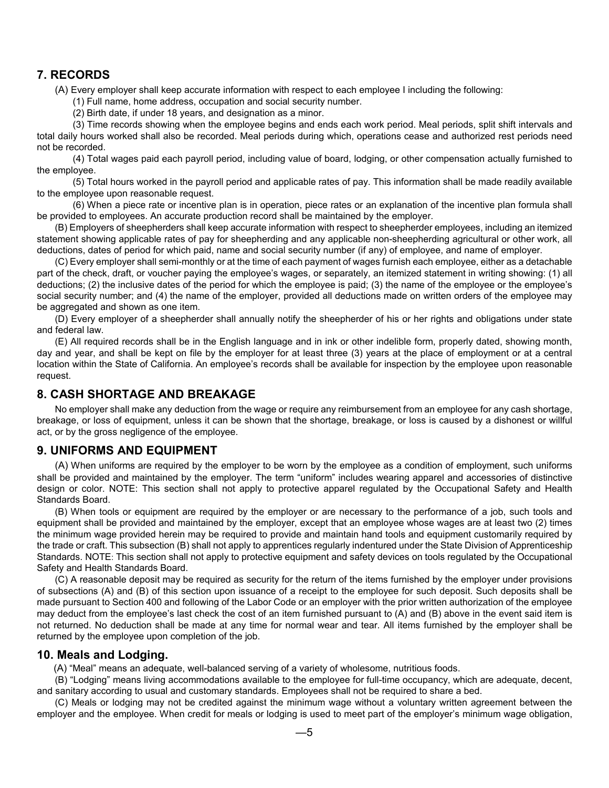## **7. RECORDS**

(A) Every employer shall keep accurate information with respect to each employee I including the following:

(1) Full name, home address, occupation and social security number.

(2) Birth date, if under 18 years, and designation as a minor.

(3) Time records showing when the employee begins and ends each work period. Meal periods, split shift intervals and total daily hours worked shall also be recorded. Meal periods during which, operations cease and authorized rest periods need not be recorded.

(4) Total wages paid each payroll period, including value of board, lodging, or other compensation actually furnished to the employee.

(5) Total hours worked in the payroll period and applicable rates of pay. This information shall be made readily available to the employee upon reasonable request.

(6) When a piece rate or incentive plan is in operation, piece rates or an explanation of the incentive plan formula shall be provided to employees. An accurate production record shall be maintained by the employer.

(B) Employers of sheepherders shall keep accurate information with respect to sheepherder employees, including an itemized statement showing applicable rates of pay for sheepherding and any applicable non-sheepherding agricultural or other work, all deductions, dates of period for which paid, name and social security number (if any) of employee, and name of employer.

(C) Every employer shall semi-monthly or at the time of each payment of wages furnish each employee, either as a detachable part of the check, draft, or voucher paying the employee's wages, or separately, an itemized statement in writing showing: (1) all deductions; (2) the inclusive dates of the period for which the employee is paid; (3) the name of the employee or the employee's social security number; and (4) the name of the employer, provided all deductions made on written orders of the employee may be aggregated and shown as one item.

(D) Every employer of a sheepherder shall annually notify the sheepherder of his or her rights and obligations under state and federal law.

(E) All required records shall be in the English language and in ink or other indelible form, properly dated, showing month, day and year, and shall be kept on file by the employer for at least three (3) years at the place of employment or at a central location within the State of California. An employee's records shall be available for inspection by the employee upon reasonable request.

## **8. CASH SHORTAGE AND BREAKAGE**

No employer shall make any deduction from the wage or require any reimbursement from an employee for any cash shortage, breakage, or loss of equipment, unless it can be shown that the shortage, breakage, or loss is caused by a dishonest or willful act, or by the gross negligence of the employee.

#### **9. UNIFORMS AND EQUIPMENT**

(A) When uniforms are required by the employer to be worn by the employee as a condition of employment, such uniforms shall be provided and maintained by the employer. The term "uniform" includes wearing apparel and accessories of distinctive design or color. NOTE: This section shall not apply to protective apparel regulated by the Occupational Safety and Health Standards Board.

(B) When tools or equipment are required by the employer or are necessary to the performance of a job, such tools and equipment shall be provided and maintained by the employer, except that an employee whose wages are at least two (2) times the minimum wage provided herein may be required to provide and maintain hand tools and equipment customarily required by the trade or craft. This subsection (B) shall not apply to apprentices regularly indentured under the State Division of Apprenticeship Standards. NOTE: This section shall not apply to protective equipment and safety devices on tools regulated by the Occupational Safety and Health Standards Board.

(C) A reasonable deposit may be required as security for the return of the items furnished by the employer under provisions of subsections (A) and (B) of this section upon issuance of a receipt to the employee for such deposit. Such deposits shall be made pursuant to Section 400 and following of the Labor Code or an employer with the prior written authorization of the employee may deduct from the employee's last check the cost of an item furnished pursuant to (A) and (B) above in the event said item is not returned. No deduction shall be made at any time for normal wear and tear. All items furnished by the employer shall be returned by the employee upon completion of the job.

#### **10. Meals and Lodging.**

(A) "Meal" means an adequate, well-balanced serving of a variety of wholesome, nutritious foods.

(B) "Lodging" means living accommodations available to the employee for full-time occupancy, which are adequate, decent, and sanitary according to usual and customary standards. Employees shall not be required to share a bed.

(C) Meals or lodging may not be credited against the minimum wage without a voluntary written agreement between the employer and the employee. When credit for meals or lodging is used to meet part of the employer's minimum wage obligation,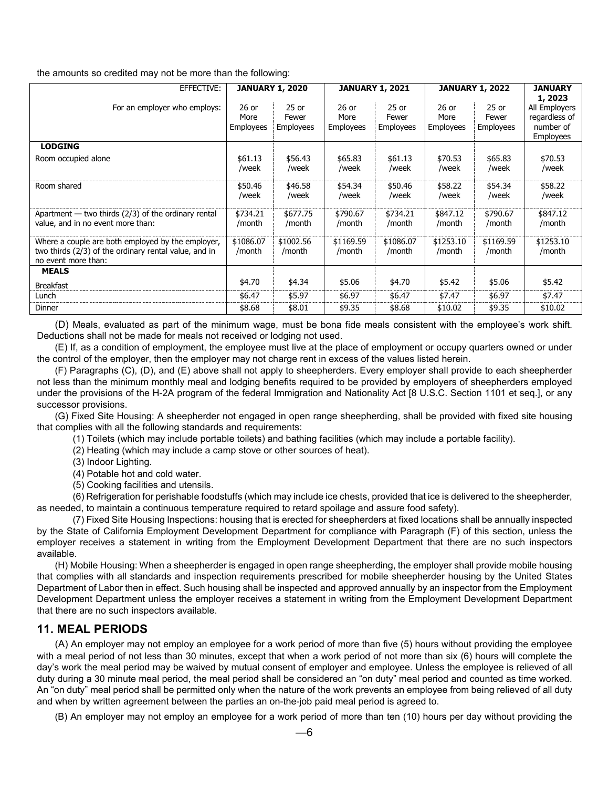the amounts so credited may not be more than the following:

| EFFECTIVE:                                                                                                                        | <b>JANUARY 1, 2020</b>            |                                      | <b>JANUARY 1, 2021</b>     |                                    | <b>JANUARY 1, 2022</b>            |                                      | <b>JANUARY</b><br>1, 2023                                       |
|-----------------------------------------------------------------------------------------------------------------------------------|-----------------------------------|--------------------------------------|----------------------------|------------------------------------|-----------------------------------|--------------------------------------|-----------------------------------------------------------------|
| For an employer who employs:                                                                                                      | 26 or<br>More<br><b>Employees</b> | $25$ or<br>Fewer<br><b>Employees</b> | 26 or<br>More<br>Employees | 25 or<br>Fewer<br><b>Employees</b> | 26 or<br>More<br><b>Employees</b> | $25$ or<br>Fewer<br><b>Employees</b> | All Employers<br>regardless of<br>number of<br><b>Employees</b> |
| <b>LODGING</b>                                                                                                                    |                                   |                                      |                            |                                    |                                   |                                      |                                                                 |
| Room occupied alone                                                                                                               | \$61.13<br>/week                  | \$56.43<br>/week                     | \$65.83<br>/week           | \$61.13<br>/week                   | \$70.53<br>/week                  | \$65.83<br>/week                     | \$70.53<br>/week                                                |
| Room shared                                                                                                                       | \$50.46<br>/week                  | \$46.58<br>/week                     | \$54.34<br>/week           | \$50.46<br>/week                   | \$58.22<br>/week                  | \$54.34<br>/week                     | \$58.22<br>/week                                                |
| Apartment $-$ two thirds (2/3) of the ordinary rental<br>value, and in no event more than:                                        | \$734.21<br>/month                | \$677.75<br>/month                   | \$790.67<br>/month         | \$734.21<br>/month                 | \$847.12<br>/month                | \$790.67<br>/month                   | \$847.12<br>/month                                              |
| Where a couple are both employed by the employer,<br>two thirds (2/3) of the ordinary rental value, and in<br>no event more than: | \$1086.07<br>/month               | \$1002.56<br>/month                  | \$1169.59<br>/month        | \$1086.07<br>/month                | \$1253.10<br>/month               | \$1169.59<br>/month                  | \$1253.10<br>/month                                             |
| <b>MEALS</b>                                                                                                                      |                                   |                                      |                            |                                    |                                   |                                      |                                                                 |
| <b>Breakfast</b>                                                                                                                  | \$4.70                            | \$4.34                               | \$5.06                     | \$4.70                             | \$5.42                            | \$5.06                               | \$5.42                                                          |
| Lunch                                                                                                                             | \$6.47                            | \$5.97                               | \$6.97                     | \$6.47                             | \$7.47                            | \$6.97                               | \$7.47                                                          |
| Dinner                                                                                                                            | \$8.68                            | \$8.01                               | \$9.35                     | \$8.68                             | \$10.02                           | \$9.35                               | \$10.02                                                         |

(D) Meals, evaluated as part of the minimum wage, must be bona fide meals consistent with the employee's work shift. Deductions shall not be made for meals not received or lodging not used.

(E) If, as a condition of employment, the employee must live at the place of employment or occupy quarters owned or under the control of the employer, then the employer may not charge rent in excess of the values listed herein.

(F) Paragraphs (C), (D), and (E) above shall not apply to sheepherders. Every employer shall provide to each sheepherder not less than the minimum monthly meal and lodging benefits required to be provided by employers of sheepherders employed under the provisions of the H-2A program of the federal Immigration and Nationality Act [8 U.S.C. Section 1101 et seq.], or any successor provisions.

(G) Fixed Site Housing: A sheepherder not engaged in open range sheepherding, shall be provided with fixed site housing that complies with all the following standards and requirements:

(1) Toilets (which may include portable toilets) and bathing facilities (which may include a portable facility).

(2) Heating (which may include a camp stove or other sources of heat).

(3) Indoor Lighting.

(4) Potable hot and cold water.

(5) Cooking facilities and utensils.

(6) Refrigeration for perishable foodstuffs (which may include ice chests, provided that ice is delivered to the sheepherder, as needed, to maintain a continuous temperature required to retard spoilage and assure food safety).

(7) Fixed Site Housing Inspections: housing that is erected for sheepherders at fixed locations shall be annually inspected by the State of California Employment Development Department for compliance with Paragraph (F) of this section, unless the employer receives a statement in writing from the Employment Development Department that there are no such inspectors available.

(H) Mobile Housing: When a sheepherder is engaged in open range sheepherding, the employer shall provide mobile housing that complies with all standards and inspection requirements prescribed for mobile sheepherder housing by the United States Department of Labor then in effect. Such housing shall be inspected and approved annually by an inspector from the Employment Development Department unless the employer receives a statement in writing from the Employment Development Department that there are no such inspectors available.

## **11. MEAL PERIODS**

(A) An employer may not employ an employee for a work period of more than five (5) hours without providing the employee with a meal period of not less than 30 minutes, except that when a work period of not more than six (6) hours will complete the day's work the meal period may be waived by mutual consent of employer and employee. Unless the employee is relieved of all duty during a 30 minute meal period, the meal period shall be considered an "on duty" meal period and counted as time worked. An "on duty" meal period shall be permitted only when the nature of the work prevents an employee from being relieved of all duty and when by written agreement between the parties an on-the-job paid meal period is agreed to.

(B) An employer may not employ an employee for a work period of more than ten (10) hours per day without providing the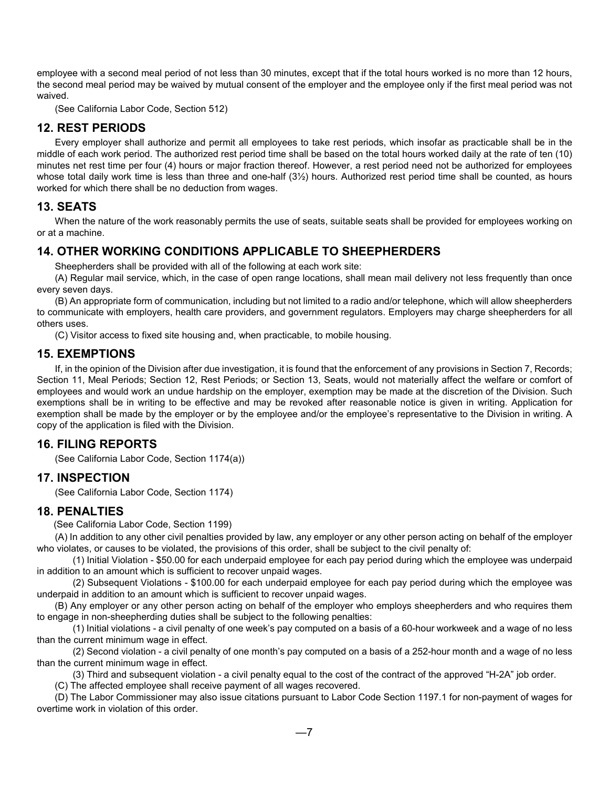employee with a second meal period of not less than 30 minutes, except that if the total hours worked is no more than 12 hours, the second meal period may be waived by mutual consent of the employer and the employee only if the first meal period was not waived.

(See California Labor Code, Section 512)

## **12. REST PERIODS**

Every employer shall authorize and permit all employees to take rest periods, which insofar as practicable shall be in the middle of each work period. The authorized rest period time shall be based on the total hours worked daily at the rate of ten (10) minutes net rest time per four (4) hours or major fraction thereof. However, a rest period need not be authorized for employees whose total daily work time is less than three and one-half (3½) hours. Authorized rest period time shall be counted, as hours worked for which there shall be no deduction from wages.

## **13. SEATS**

When the nature of the work reasonably permits the use of seats, suitable seats shall be provided for employees working on or at a machine.

## **14. OTHER WORKING CONDITIONS APPLICABLE TO SHEEPHERDERS**

Sheepherders shall be provided with all of the following at each work site:

(A) Regular mail service, which, in the case of open range locations, shall mean mail delivery not less frequently than once every seven days.

(B) An appropriate form of communication, including but not limited to a radio and/or telephone, which will allow sheepherders to communicate with employers, health care providers, and government regulators. Employers may charge sheepherders for all others uses.

(C) Visitor access to fixed site housing and, when practicable, to mobile housing.

## **15. EXEMPTIONS**

If, in the opinion of the Division after due investigation, it is found that the enforcement of any provisions in Section 7, Records; Section 11, Meal Periods; Section 12, Rest Periods; or Section 13, Seats, would not materially affect the welfare or comfort of employees and would work an undue hardship on the employer, exemption may be made at the discretion of the Division. Such exemptions shall be in writing to be effective and may be revoked after reasonable notice is given in writing. Application for exemption shall be made by the employer or by the employee and/or the employee's representative to the Division in writing. A copy of the application is filed with the Division.

## **16. FILING REPORTS**

(See California Labor Code, Section 1174(a))

## **17. INSPECTION**

(See California Labor Code, Section 1174)

## **18. PENALTIES**

(See California Labor Code, Section 1199)

(A) In addition to any other civil penalties provided by law, any employer or any other person acting on behalf of the employer who violates, or causes to be violated, the provisions of this order, shall be subject to the civil penalty of:

(1) Initial Violation - \$50.00 for each underpaid employee for each pay period during which the employee was underpaid in addition to an amount which is sufficient to recover unpaid wages.

(2) Subsequent Violations - \$100.00 for each underpaid employee for each pay period during which the employee was underpaid in addition to an amount which is sufficient to recover unpaid wages.

(B) Any employer or any other person acting on behalf of the employer who employs sheepherders and who requires them to engage in non-sheepherding duties shall be subject to the following penalties:

(1) Initial violations - a civil penalty of one week's pay computed on a basis of a 60-hour workweek and a wage of no less than the current minimum wage in effect.

(2) Second violation - a civil penalty of one month's pay computed on a basis of a 252-hour month and a wage of no less than the current minimum wage in effect.

(3) Third and subsequent violation - a civil penalty equal to the cost of the contract of the approved "H-2A" job order.

(C) The affected employee shall receive payment of all wages recovered.

(D) The Labor Commissioner may also issue citations pursuant to Labor Code Section 1197.1 for non-payment of wages for overtime work in violation of this order.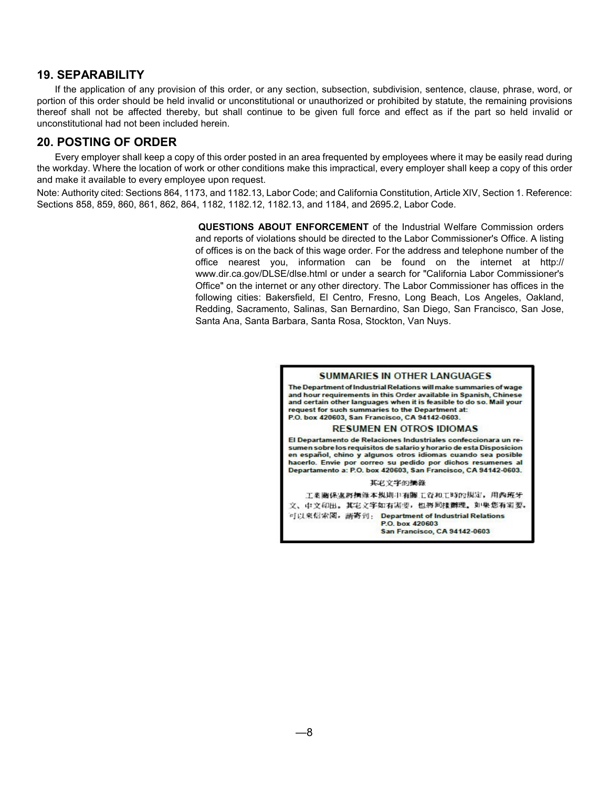## **19. SEPARABILITY**

If the application of any provision of this order, or any section, subsection, subdivision, sentence, clause, phrase, word, or portion of this order should be held invalid or unconstitutional or unauthorized or prohibited by statute, the remaining provisions thereof shall not be affected thereby, but shall continue to be given full force and effect as if the part so held invalid or unconstitutional had not been included herein.

## **20. POSTING OF ORDER**

Every employer shall keep a copy of this order posted in an area frequented by employees where it may be easily read during the workday. Where the location of work or other conditions make this impractical, every employer shall keep a copy of this order and make it available to every employee upon request.

Note: Authority cited: Sections 864, 1173, and 1182.13, Labor Code; and California Constitution, Article XIV, Section 1. Reference: Sections 858, 859, 860, 861, 862, 864, 1182, 1182.12, 1182.13, and 1184, and 2695.2, Labor Code.

> **QUESTIONS ABOUT ENFORCEMENT** of the Industrial Welfare Commission orders and reports of violations should be directed to the Labor Commissioner's Office. A listing of offices is on the back of this wage order. For the address and telephone number of the office nearest you, information can be found on the internet at http:// [www.dir.ca.gov/DLSE/dlse.html o](http://www.dir.ca.gov/DLSE/dlse.html)r under a search for "California Labor Commissioner's Office" on the internet or any other directory. The Labor Commissioner has offices in the following cities: Bakersfield, El Centro, Fresno, Long Beach, Los Angeles, Oakland, Redding, Sacramento, Salinas, San Bernardino, San Diego, San Francisco, San Jose, Santa Ana, Santa Barbara, Santa Rosa, Stockton, Van Nuys.